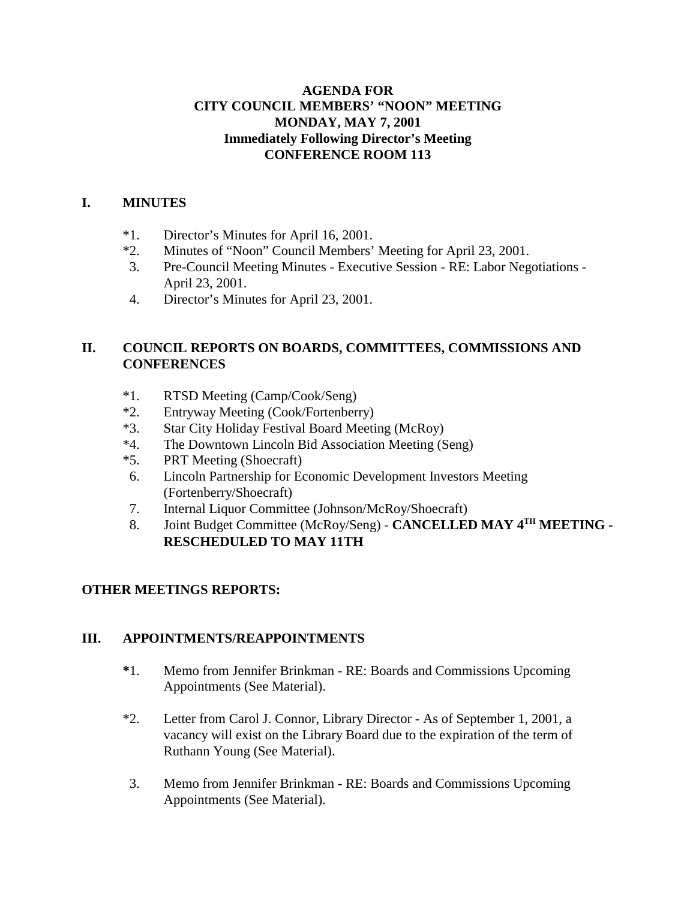#### **AGENDA FOR CITY COUNCIL MEMBERS' "NOON" MEETING MONDAY, MAY 7, 2001 Immediately Following Director's Meeting CONFERENCE ROOM 113**

#### **I. MINUTES**

- \*1. Director's Minutes for April 16, 2001.
- \*2. Minutes of "Noon" Council Members' Meeting for April 23, 2001.
- 3. Pre-Council Meeting Minutes Executive Session RE: Labor Negotiations April 23, 2001.
- 4. Director's Minutes for April 23, 2001.

# **II. COUNCIL REPORTS ON BOARDS, COMMITTEES, COMMISSIONS AND CONFERENCES**

- \*1. RTSD Meeting (Camp/Cook/Seng)
- \*2. Entryway Meeting (Cook/Fortenberry)
- \*3. Star City Holiday Festival Board Meeting (McRoy)
- \*4. The Downtown Lincoln Bid Association Meeting (Seng)
- \*5. PRT Meeting (Shoecraft)
- 6. Lincoln Partnership for Economic Development Investors Meeting (Fortenberry/Shoecraft)
- 7. Internal Liquor Committee (Johnson/McRoy/Shoecraft)
- 8. Joint Budget Committee (McRoy/Seng) **CANCELLED MAY 4TH MEETING - RESCHEDULED TO MAY 11TH**

# **OTHER MEETINGS REPORTS:**

# **III. APPOINTMENTS/REAPPOINTMENTS**

- **\***1. Memo from Jennifer Brinkman RE: Boards and Commissions Upcoming Appointments (See Material).
- \*2. Letter from Carol J. Connor, Library Director As of September 1, 2001, a vacancy will exist on the Library Board due to the expiration of the term of Ruthann Young (See Material).
- 3. Memo from Jennifer Brinkman RE: Boards and Commissions Upcoming Appointments (See Material).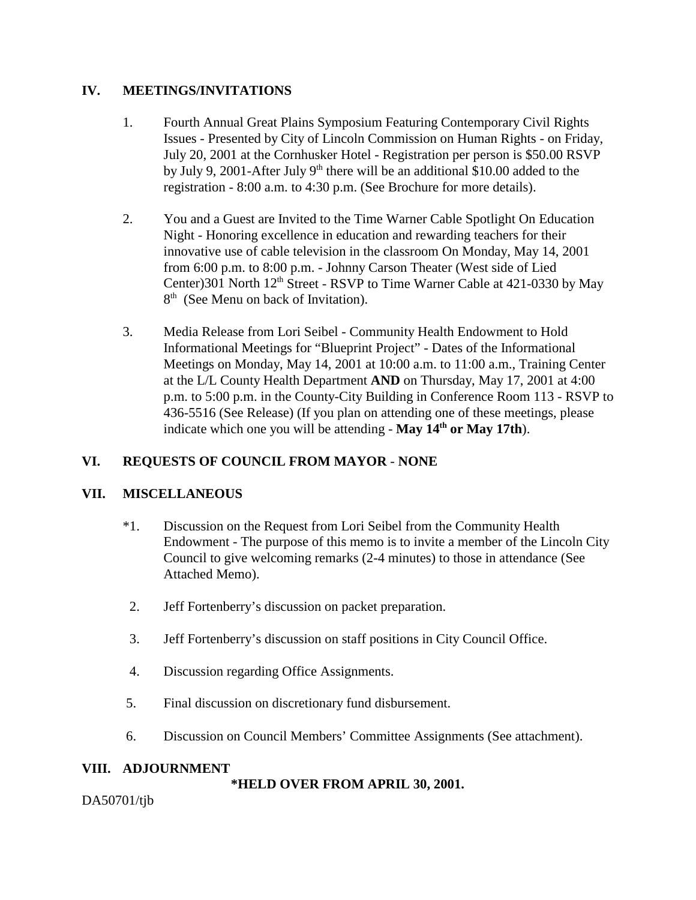#### **IV. MEETINGS/INVITATIONS**

- 1. Fourth Annual Great Plains Symposium Featuring Contemporary Civil Rights Issues - Presented by City of Lincoln Commission on Human Rights - on Friday, July 20, 2001 at the Cornhusker Hotel - Registration per person is \$50.00 RSVP by July 9, 2001-After July  $9<sup>th</sup>$  there will be an additional \$10.00 added to the registration - 8:00 a.m. to 4:30 p.m. (See Brochure for more details).
- 2. You and a Guest are Invited to the Time Warner Cable Spotlight On Education Night - Honoring excellence in education and rewarding teachers for their innovative use of cable television in the classroom On Monday, May 14, 2001 from 6:00 p.m. to 8:00 p.m. - Johnny Carson Theater (West side of Lied Center)301 North  $12<sup>th</sup>$  Street - RSVP to Time Warner Cable at 421-0330 by May 8<sup>th</sup> (See Menu on back of Invitation).
- 3. Media Release from Lori Seibel Community Health Endowment to Hold Informational Meetings for "Blueprint Project" - Dates of the Informational Meetings on Monday, May 14, 2001 at 10:00 a.m. to 11:00 a.m., Training Center at the L/L County Health Department **AND** on Thursday, May 17, 2001 at 4:00 p.m. to 5:00 p.m. in the County-City Building in Conference Room 113 - RSVP to 436-5516 (See Release) (If you plan on attending one of these meetings, please indicate which one you will be attending - **May 14<sup>th</sup> or May 17th**).

# **VI. REQUESTS OF COUNCIL FROM MAYOR** - **NONE**

# **VII. MISCELLANEOUS**

- \*1. Discussion on the Request from Lori Seibel from the Community Health Endowment - The purpose of this memo is to invite a member of the Lincoln City Council to give welcoming remarks (2-4 minutes) to those in attendance (See Attached Memo).
- 2. Jeff Fortenberry's discussion on packet preparation.
- 3. Jeff Fortenberry's discussion on staff positions in City Council Office.
- 4. Discussion regarding Office Assignments.
- 5. Final discussion on discretionary fund disbursement.
- 6. Discussion on Council Members' Committee Assignments (See attachment).

#### **VIII. ADJOURNMENT**

**\*HELD OVER FROM APRIL 30, 2001.**

DA50701/tjb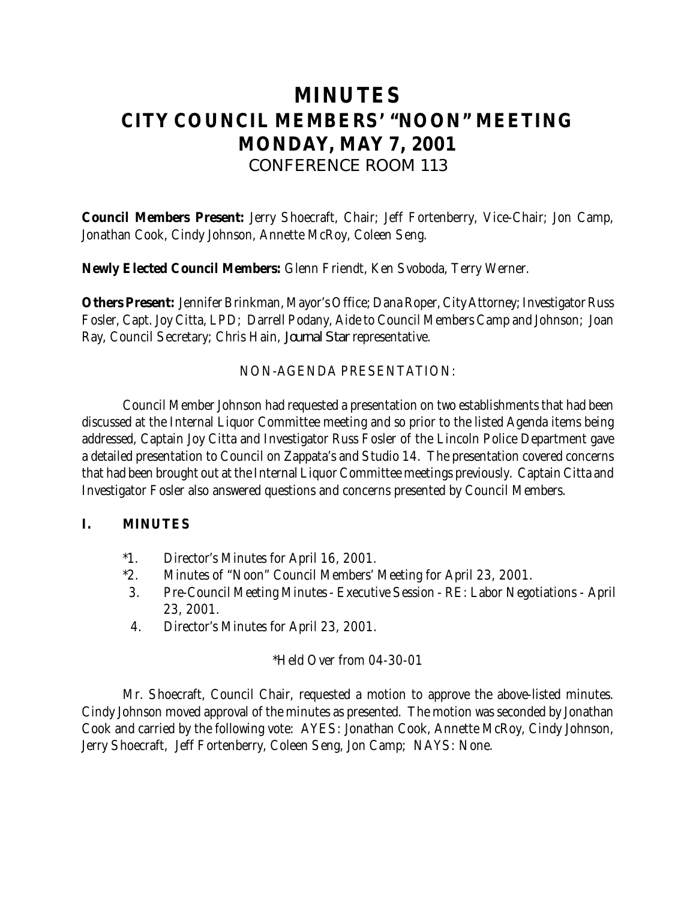# **MINUTES CITY COUNCIL MEMBERS' "NOON" MEETING MONDAY, MAY 7, 2001** *CONFERENCE ROOM 113*

**Council Members Present:** Jerry Shoecraft, Chair; Jeff Fortenberry, Vice-Chair; Jon Camp, Jonathan Cook, Cindy Johnson, Annette McRoy, Coleen Seng.

**Newly Elected Council Members:** Glenn Friendt, Ken Svoboda, Terry Werner.

**Others Present:** Jennifer Brinkman, Mayor's Office; Dana Roper, City Attorney; Investigator Russ Fosler, Capt. Joy Citta, LPD; Darrell Podany, Aide to Council Members Camp and Johnson; Joan Ray, Council Secretary; Chris Hain, *Journal Star* representative.

#### NON-AGENDA PRESENTATION:

Council Member Johnson had requested a presentation on two establishments that had been discussed at the Internal Liquor Committee meeting and so prior to the listed Agenda items being addressed, Captain Joy Citta and Investigator Russ Fosler of the Lincoln Police Department gave a detailed presentation to Council on Zappata's and Studio 14. The presentation covered concerns that had been brought out at the Internal Liquor Committee meetings previously. Captain Citta and Investigator Fosler also answered questions and concerns presented by Council Members.

#### **I. MINUTES**

- \*1. Director's Minutes for April 16, 2001.
- \*2. Minutes of "Noon" Council Members' Meeting for April 23, 2001.
- 3. Pre-Council Meeting Minutes Executive Session RE: Labor Negotiations April 23, 2001.
- 4. Director's Minutes for April 23, 2001.

#### \*Held Over from 04-30-01

Mr. Shoecraft, Council Chair, requested a motion to approve the above-listed minutes. Cindy Johnson moved approval of the minutes as presented. The motion was seconded by Jonathan Cook and carried by the following vote: AYES: Jonathan Cook, Annette McRoy, Cindy Johnson, Jerry Shoecraft, Jeff Fortenberry, Coleen Seng, Jon Camp; NAYS: None.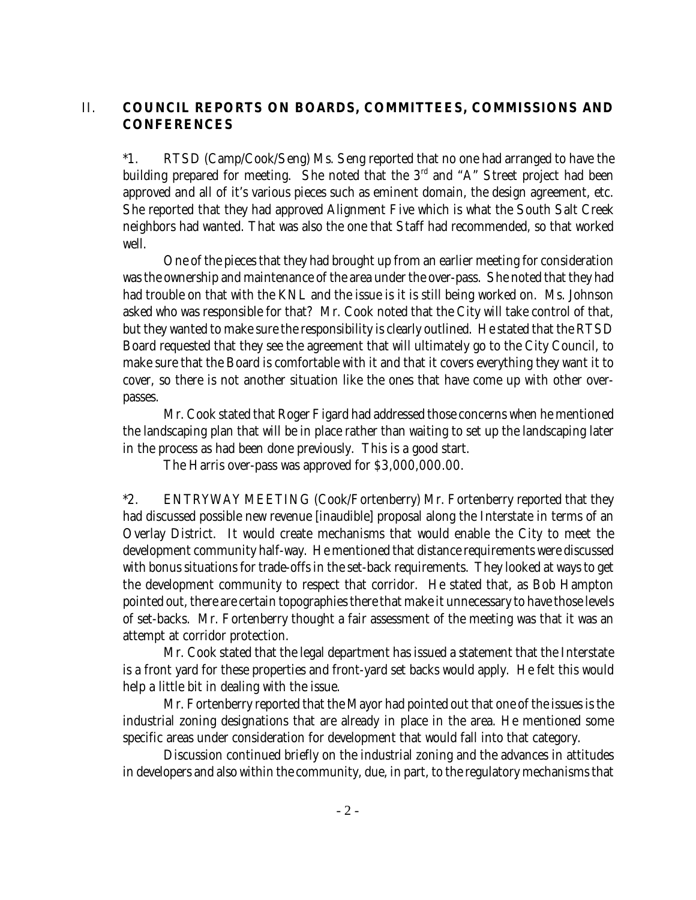# II. **COUNCIL REPORTS ON BOARDS, COMMITTEES, COMMISSIONS AND CONFERENCES**

\*1. RTSD (Camp/Cook/Seng) Ms. Seng reported that no one had arranged to have the building prepared for meeting. She noted that the  $3<sup>rd</sup>$  and "A" Street project had been approved and all of it's various pieces such as eminent domain, the design agreement, etc. She reported that they had approved Alignment Five which is what the South Salt Creek neighbors had wanted. That was also the one that Staff had recommended, so that worked well.

One of the pieces that they had brought up from an earlier meeting for consideration was the ownership and maintenance of the area under the over-pass. She noted that they had had trouble on that with the KNL and the issue is it is still being worked on. Ms. Johnson asked who was responsible for that? Mr. Cook noted that the City will take control of that, but they wanted to make sure the responsibility is clearly outlined. He stated that the RTSD Board requested that they see the agreement that will ultimately go to the City Council, to make sure that the Board is comfortable with it and that it covers everything they want it to cover, so there is not another situation like the ones that have come up with other overpasses.

Mr. Cook stated that Roger Figard had addressed those concerns when he mentioned the landscaping plan that will be in place rather than waiting to set up the landscaping later in the process as had been done previously. This is a good start.

The Harris over-pass was approved for \$3,000,000.00.

\*2. ENTRYWAY MEETING (Cook/Fortenberry) Mr. Fortenberry reported that they had discussed possible new revenue [inaudible] proposal along the Interstate in terms of an Overlay District. It would create mechanisms that would enable the City to meet the development community half-way. He mentioned that distance requirements were discussed with bonus situations for trade-offs in the set-back requirements. They looked at ways to get the development community to respect that corridor. He stated that, as Bob Hampton pointed out, there are certain topographies there that make it unnecessary to have those levels of set-backs. Mr. Fortenberry thought a fair assessment of the meeting was that it was an attempt at corridor protection.

Mr. Cook stated that the legal department has issued a statement that the Interstate is a front yard for these properties and front-yard set backs would apply. He felt this would help a little bit in dealing with the issue.

Mr. Fortenberry reported that the Mayor had pointed out that one of the issues is the industrial zoning designations that are already in place in the area. He mentioned some specific areas under consideration for development that would fall into that category.

Discussion continued briefly on the industrial zoning and the advances in attitudes in developers and also within the community, due, in part, to the regulatory mechanisms that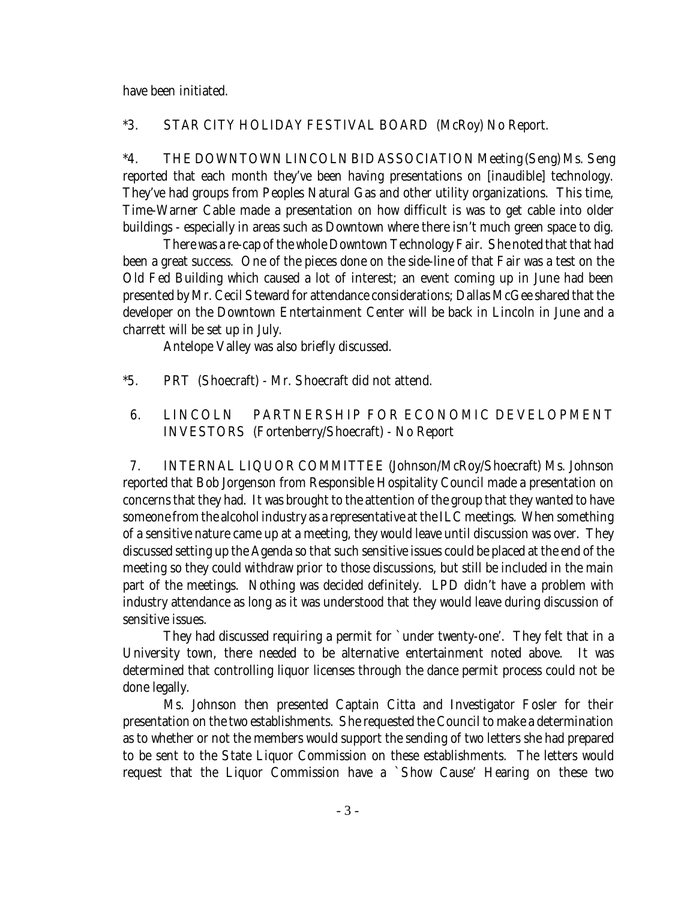have been initiated.

#### \*3. STAR CITY HOLIDAY FESTIVAL BOARD (McRoy) No Report.

\*4. THE DOWNTOWN LINCOLN BID ASSOCIATION Meeting (Seng) Ms. Seng reported that each month they've been having presentations on [inaudible] technology. They've had groups from Peoples Natural Gas and other utility organizations. This time, Time-Warner Cable made a presentation on how difficult is was to get cable into older buildings - especially in areas such as Downtown where there isn't much green space to dig.

There was a re-cap of the whole Downtown Technology Fair. She noted that that had been a great success. One of the pieces done on the side-line of that Fair was a test on the Old Fed Building which caused a lot of interest; an event coming up in June had been presented by Mr. Cecil Steward for attendance considerations; Dallas McGee shared that the developer on the Downtown Entertainment Center will be back in Lincoln in June and a charrett will be set up in July.

Antelope Valley was also briefly discussed.

- \*5. PRT (Shoecraft) Mr. Shoecraft did not attend.
- 6. LINCOLN PARTNERSHIP FOR ECONOMIC DEVELOPMENT INVESTORS (Fortenberry/Shoecraft) - No Report

 7. INTERNAL LIQUOR COMMITTEE (Johnson/McRoy/Shoecraft) Ms. Johnson reported that Bob Jorgenson from Responsible Hospitality Council made a presentation on concerns that they had. It was brought to the attention of the group that they wanted to have someone from the alcohol industry as a representative at the ILC meetings. When something of a sensitive nature came up at a meeting, they would leave until discussion was over. They discussed setting up the Agenda so that such sensitive issues could be placed at the end of the meeting so they could withdraw prior to those discussions, but still be included in the main part of the meetings. Nothing was decided definitely. LPD didn't have a problem with industry attendance as long as it was understood that they would leave during discussion of sensitive issues.

They had discussed requiring a permit for `under twenty-one'. They felt that in a University town, there needed to be alternative entertainment noted above. It was determined that controlling liquor licenses through the dance permit process could not be done legally.

Ms. Johnson then presented Captain Citta and Investigator Fosler for their presentation on the two establishments. She requested the Council to make a determination as to whether or not the members would support the sending of two letters she had prepared to be sent to the State Liquor Commission on these establishments. The letters would request that the Liquor Commission have a `Show Cause' Hearing on these two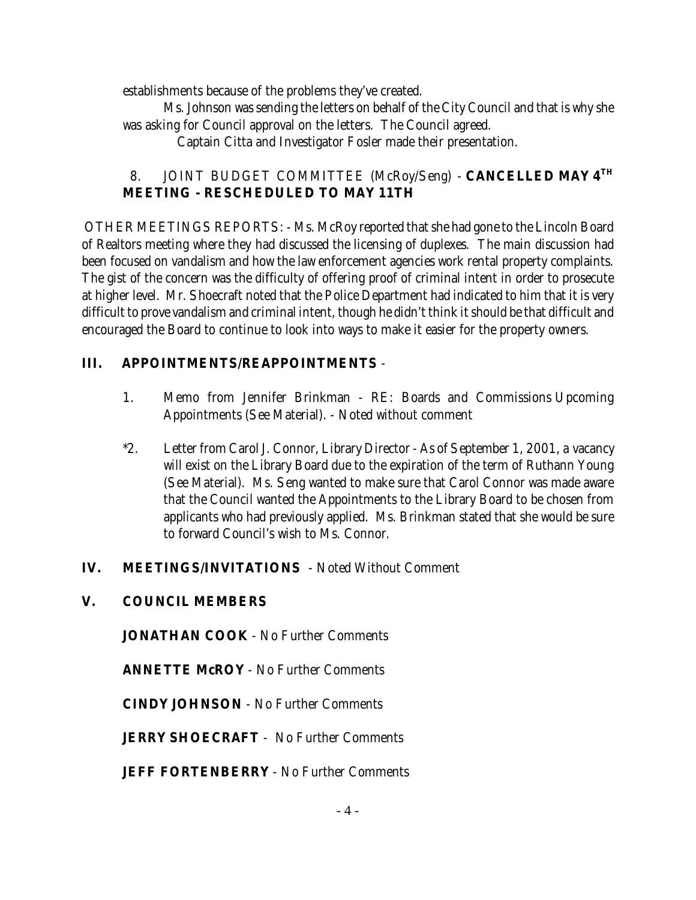establishments because of the problems they've created.

Ms. Johnson was sending the letters on behalf of the City Council and that is why she was asking for Council approval on the letters. The Council agreed.

Captain Citta and Investigator Fosler made their presentation.

# 8. JOINT BUDGET COMMITTEE (McRoy/Seng) - **CANCELLED MAY 4TH MEETING - RESCHEDULED TO MAY 11TH**

 OTHER MEETINGS REPORTS: - Ms. McRoy reported that she had gone to the Lincoln Board of Realtors meeting where they had discussed the licensing of duplexes. The main discussion had been focused on vandalism and how the law enforcement agencies work rental property complaints. The gist of the concern was the difficulty of offering proof of criminal intent in order to prosecute at higher level. Mr. Shoecraft noted that the Police Department had indicated to him that it is very difficult to prove vandalism and criminal intent, though he didn't think it should be that difficult and encouraged the Board to continue to look into ways to make it easier for the property owners.

# **III. APPOINTMENTS/REAPPOINTMENTS** -

- 1. Memo from Jennifer Brinkman RE: Boards and Commissions Upcoming Appointments (See Material). - Noted without comment
- \*2. Letter from Carol J. Connor, Library Director As of September 1, 2001, a vacancy will exist on the Library Board due to the expiration of the term of Ruthann Young (See Material). Ms. Seng wanted to make sure that Carol Connor was made aware that the Council wanted the Appointments to the Library Board to be chosen from applicants who had previously applied. Ms. Brinkman stated that she would be sure to forward Council's wish to Ms. Connor.

# **IV. MEETINGS/INVITATIONS** - Noted Without Comment

# **V. COUNCIL MEMBERS**

**JONATHAN COOK** - No Further Comments

**ANNETTE McROY** - No Further Comments

**CINDY JOHNSON** - No Further Comments

**JERRY SHOECRAFT** - No Further Comments

**JEFF FORTENBERRY** - No Further Comments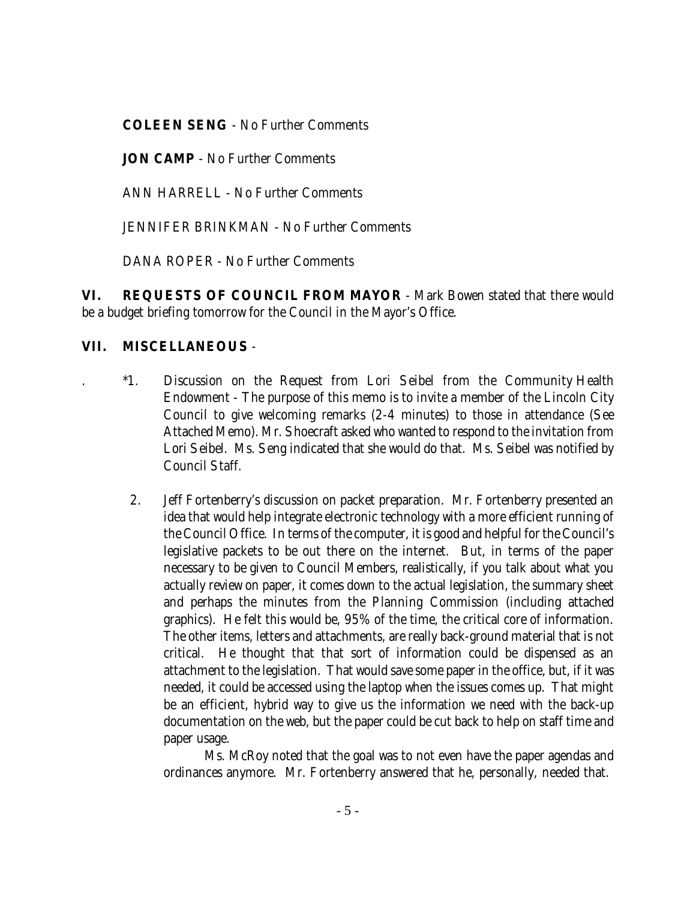**COLEEN SENG** - No Further Comments

**JON CAMP** - No Further Comments

ANN HARRELL - No Further Comments

JENNIFER BRINKMAN - No Further Comments

DANA ROPER - No Further Comments

**VI. REQUESTS OF COUNCIL FROM MAYOR** - Mark Bowen stated that there would be a budget briefing tomorrow for the Council in the Mayor's Office.

# **VII. MISCELLANEOUS** -

- . \*1. Discussion on the Request from Lori Seibel from the Community Health Endowment - The purpose of this memo is to invite a member of the Lincoln City Council to give welcoming remarks (2-4 minutes) to those in attendance (See Attached Memo). Mr. Shoecraft asked who wanted to respond to the invitation from Lori Seibel. Ms. Seng indicated that she would do that. Ms. Seibel was notified by Council Staff.
	- 2. Jeff Fortenberry's discussion on packet preparation. Mr. Fortenberry presented an idea that would help integrate electronic technology with a more efficient running of the Council Office. In terms of the computer, it is good and helpful for the Council's legislative packets to be out there on the internet. But, in terms of the paper necessary to be given to Council Members, realistically, if you talk about what you actually review on paper, it comes down to the actual legislation, the summary sheet and perhaps the minutes from the Planning Commission (including attached graphics). He felt this would be, 95% of the time, the critical core of information. The other items, letters and attachments, are really back-ground material that is not critical. He thought that that sort of information could be dispensed as an attachment to the legislation. That would save some paper in the office, but, if it was needed, it could be accessed using the laptop when the issues comes up. That might be an efficient, hybrid way to give us the information we need with the back-up documentation on the web, but the paper could be cut back to help on staff time and paper usage.

Ms. McRoy noted that the goal was to not even have the paper agendas and ordinances anymore. Mr. Fortenberry answered that he, personally, needed that.